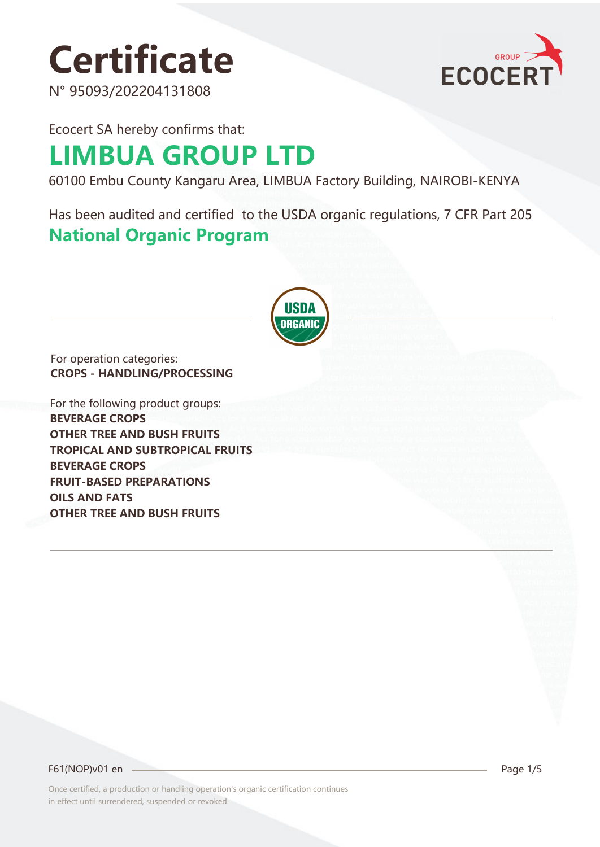# **Certificate**

N° 95093/202204131808



Ecocert SA hereby confirms that:

### **LIMBUA GROUP LTD**

60100 Embu County Kangaru Area, LIMBUA Factory Building, NAIROBI-KENYA

Has been audited and certified to the USDA organic regulations, 7 CFR Part 205 **National Organic Program** 



For operation categories: **CROPS - HANDLING/PROCESSING**

For the following product groups: **BEVERAGE CROPS OTHER TREE AND BUSH FRUITS TROPICAL AND SUBTROPICAL FRUITS BEVERAGE CROPS FRUIT-BASED PREPARATIONS OILS AND FATS OTHER TREE AND BUSH FRUITS**

F61(NOP)v01 en 2015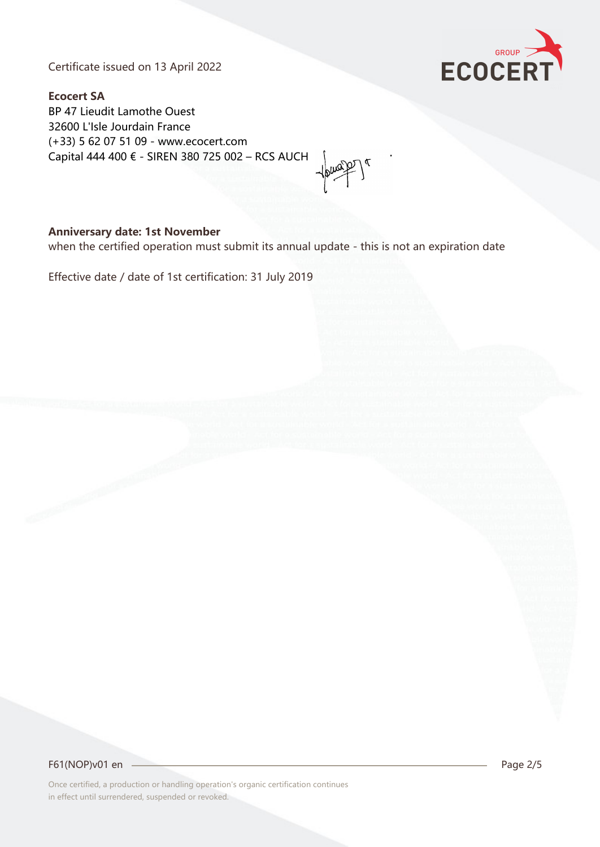Certificate issued on 13 April 2022



**Ecocert SA** BP 47 Lieudit Lamothe Ouest 32600 L'Isle Jourdain France (+33) 5 62 07 51 09 - www.ecocert.com Capital 444 400 € - SIREN 380 725 002 – RCS AUCH

#### **Anniversary date: 1st November**

when the certified operation must submit its annual update - this is not an expiration date

Effective date / date of 1st certification: 31 July 2019

F61(NOP)v01 en 2/5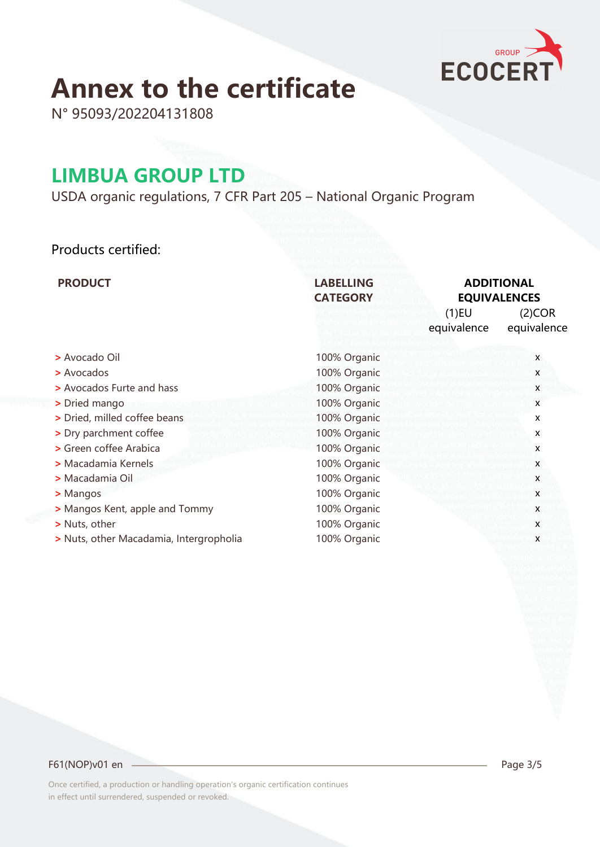

## **Annex to the certificate**

N° 95093/202204131808

#### **LIMBUA GROUP LTD**

USDA organic regulations, 7 CFR Part 205 – National Organic Program

#### Products certified:

| <b>PRODUCT</b>                          | <b>LABELLING</b><br><b>CATEGORY</b> | <b>ADDITIONAL</b><br><b>EQUIVALENCES</b> |                       |
|-----------------------------------------|-------------------------------------|------------------------------------------|-----------------------|
|                                         |                                     | $(1)$ EU<br>equivalence                  | (2)COR<br>equivalence |
| > Avocado Oil                           | 100% Organic                        |                                          | X                     |
| > Avocados                              | 100% Organic                        |                                          | X                     |
| > Avocados Furte and hass               | 100% Organic                        |                                          | X                     |
| > Dried mango                           | 100% Organic                        |                                          | X                     |
| > Dried, milled coffee beans            | 100% Organic                        |                                          | X                     |
| > Dry parchment coffee                  | 100% Organic                        |                                          | X                     |
| > Green coffee Arabica                  | 100% Organic                        |                                          | X                     |
| > Macadamia Kernels                     | 100% Organic                        |                                          | X                     |
| > Macadamia Oil                         | 100% Organic                        |                                          | X                     |
| > Mangos                                | 100% Organic                        |                                          | X                     |
| > Mangos Kent, apple and Tommy          | 100% Organic                        |                                          | X                     |
| > Nuts, other                           | 100% Organic                        |                                          | X                     |
| > Nuts, other Macadamia, Intergropholia | 100% Organic                        |                                          | X                     |

#### F61(NOP)v01 en 2/5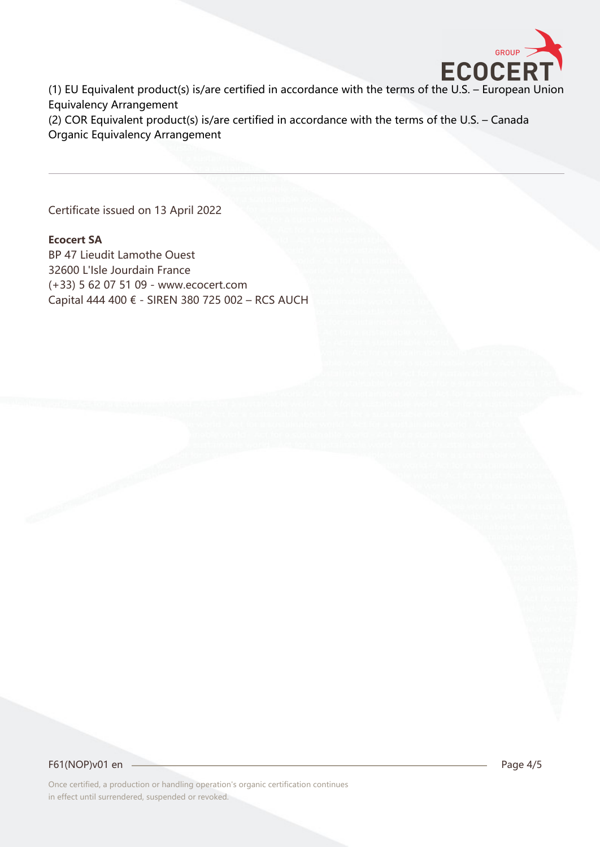

(1) EU Equivalent product(s) is/are certified in accordance with the terms of the U.S. – European Union Equivalency Arrangement

(2) COR Equivalent product(s) is/are certified in accordance with the terms of the U.S. – Canada Organic Equivalency Arrangement

Certificate issued on 13 April 2022

#### **Ecocert SA**

BP 47 Lieudit Lamothe Ouest 32600 L'Isle Jourdain France (+33) 5 62 07 51 09 - www.ecocert.com Capital 444 400 € - SIREN 380 725 002 – RCS AUCH

F61(NOP)v01 en 2010 - 2020 Page 4/5